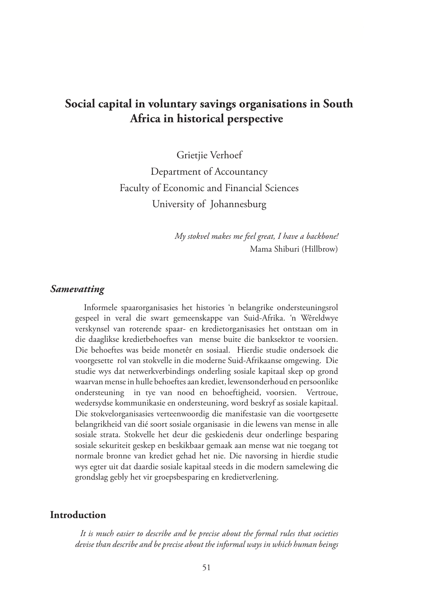# **Social capital in voluntary savings organisations in South Africa in historical perspective**

Grietiie Verhoef Department of Accountancy Faculty of Economic and Financial Sciences University of Johannesburg

> *My stokvel makes me feel great, I have a backbone!* Mama Shiburi (Hillbrow)

#### *Samevatting*

 Informele spaarorganisasies het histories 'n belangrike ondersteuningsrol gespeel in veral die swart gemeenskappe van Suid-Afrika. 'n Wêreldwye verskynsel van roterende spaar- en kredietorganisasies het ontstaan om in die daaglikse kredietbehoeftes van mense buite die banksektor te voorsien. Die behoeftes was beide monetêr en sosiaal. Hierdie studie ondersoek die voorgesette rol van stokvelle in die moderne Suid-Afrikaanse omgewing. Die studie wys dat netwerkverbindings onderling sosiale kapitaal skep op grond waarvan mense in hulle behoeftes aan krediet, lewensonderhoud en persoonlike ondersteuning in tye van nood en behoeftigheid, voorsien. Vertroue, wedersydse kommunikasie en ondersteuning, word beskryf as sosiale kapitaal. Die stokvelorganisasies verteenwoordig die manifestasie van die voortgesette belangrikheid van dié soort sosiale organisasie in die lewens van mense in alle sosiale strata. Stokvelle het deur die geskiedenis deur onderlinge besparing sosiale sekuriteit geskep en beskikbaar gemaak aan mense wat nie toegang tot normale bronne van krediet gehad het nie. Die navorsing in hierdie studie wys egter uit dat daardie sosiale kapitaal steeds in die modern samelewing die grondslag gebly het vir groepsbesparing en kredietverlening.

### **Introduction**

*It is much easier to describe and be precise about the formal rules that societies devise than describe and be precise about the informal ways in which human beings*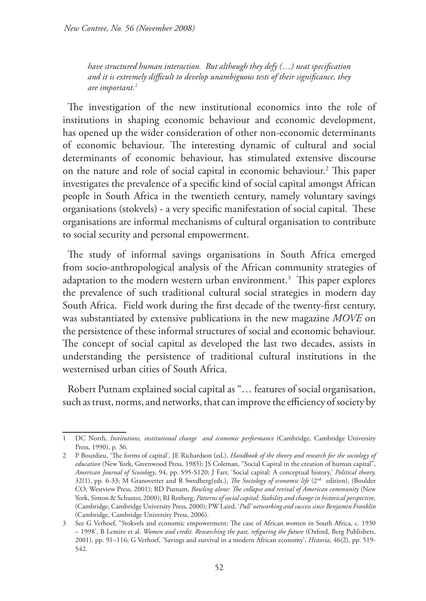*have structured human interaction. But although they defy (…) neat specification and it is extremely difficult to develop unambiguous tests of their significance, they are important.1*

The investigation of the new institutional economics into the role of institutions in shaping economic behaviour and economic development, has opened up the wider consideration of other non-economic determinants of economic behaviour. The interesting dynamic of cultural and social determinants of economic behaviour, has stimulated extensive discourse on the nature and role of social capital in economic behaviour.<sup>2</sup> This paper investigates the prevalence of a specific kind of social capital amongst African people in South Africa in the twentieth century, namely voluntary savings organisations (stokvels) - a very specific manifestation of social capital. These organisations are informal mechanisms of cultural organisation to contribute to social security and personal empowerment.

The study of informal savings organisations in South Africa emerged from socio-anthropological analysis of the African community strategies of adaptation to the modern western urban environment.<sup>3</sup> This paper explores the prevalence of such traditional cultural social strategies in modern day South Africa. Field work during the first decade of the twenty-first century, was substantiated by extensive publications in the new magazine *MOVE* on the persistence of these informal structures of social and economic behaviour. The concept of social capital as developed the last two decades, assists in understanding the persistence of traditional cultural institutions in the westernised urban cities of South Africa.

Robert Putnam explained social capital as "… features of social organisation, such as trust, norms, and networks, that can improve the efficiency of society by

<sup>1</sup> DC North, *Institutions, institutional change and economic performance* (Cambridge, Cambridge University Press, 1990), p. 36.

<sup>2</sup> P Bourdieu, 'The forms of capital', JE Richardson (ed.), *Handbook of the theory and research for the sociology of education* (New York, Greenwood Press, 1985); JS Coleman, "Social Capital in the creation of human capital", *American Journal of Scoiology*, 94, pp. S95-S120; J Farr, 'Social capital: A conceptual history,' *Political theory,* 32(1), pp. 6-33; M Granovetter and R Swedberg(eds.), *The Sociology of economic life* (2nd edition), (Boulder CO, Westview Press, 2001); RD Putnam, *Bowling alone: The collapse and revival of American community* (New York, Simon & Schuster, 2000); RI Rotberg, *Patterns of social capital: Stability and change in historical perspective,*  (Cambridge, Cambridge University Press, 2000); PW Laird, '*Pull' networking and success since Benjamin Franklin* (Cambridge, Cambridge University Press, 2006).

<sup>3</sup> See G Verhoef, "Stokvels and economic empowerment: The case of African women in South Africa, c. 1930 – 1998', B Lemire et al. *Women and credit. Researching the past, refiguring the future* (Oxford, Berg Publishers, 2001), pp. 91–116; G Verhoef, 'Savings and survival in a modern African economy', *Historia*, 46(2), pp. 519- 542.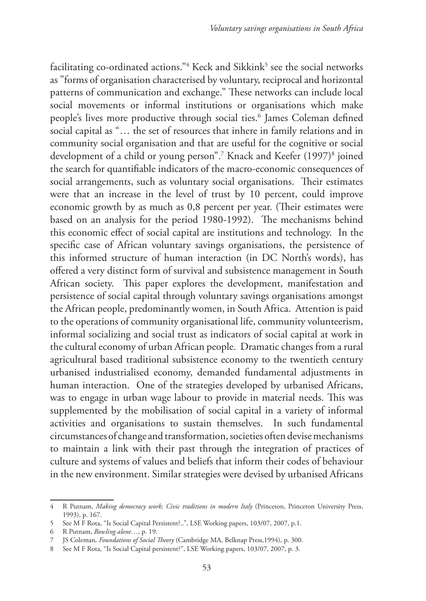facilitating co-ordinated actions."<sup>4</sup> Keck and Sikkink<sup>5</sup> see the social networks as "forms of organisation characterised by voluntary, reciprocal and horizontal patterns of communication and exchange." These networks can include local social movements or informal institutions or organisations which make people's lives more productive through social ties.6 James Coleman defined social capital as "… the set of resources that inhere in family relations and in community social organisation and that are useful for the cognitive or social development of a child or young person".7 Knack and Keefer (1997)8 joined the search for quantifiable indicators of the macro-economic consequences of social arrangements, such as voluntary social organisations. Their estimates were that an increase in the level of trust by 10 percent, could improve economic growth by as much as 0,8 percent per year. (Their estimates were based on an analysis for the period 1980-1992). The mechanisms behind this economic effect of social capital are institutions and technology. In the specific case of African voluntary savings organisations, the persistence of this informed structure of human interaction (in DC North's words), has offered a very distinct form of survival and subsistence management in South African society. This paper explores the development, manifestation and persistence of social capital through voluntary savings organisations amongst the African people, predominantly women, in South Africa. Attention is paid to the operations of community organisational life, community volunteerism, informal socializing and social trust as indicators of social capital at work in the cultural economy of urban African people. Dramatic changes from a rural agricultural based traditional subsistence economy to the twentieth century urbanised industrialised economy, demanded fundamental adjustments in human interaction. One of the strategies developed by urbanised Africans, was to engage in urban wage labour to provide in material needs. This was supplemented by the mobilisation of social capital in a variety of informal activities and organisations to sustain themselves. In such fundamental circumstances of change and transformation, societies often devise mechanisms to maintain a link with their past through the integration of practices of culture and systems of values and beliefs that inform their codes of behaviour in the new environment. Similar strategies were devised by urbanised Africans

<sup>4</sup> R Putnam, *Making democracy work; Civic traditions in modern Italy* (Princeton, Princeton University Press, 1993), p. 167.

<sup>5</sup> See M F Rota, "Is Social Capital Persistent?..", LSE Working papers, 103/07, 2007, p.1.

<sup>6</sup> R Putnam, *Bowling alone…*, p. 19.

<sup>7</sup> JS Coleman*, Foundations of Social Theory* (Cambridge MA, Belknap Press,1994), p. 300.

<sup>8</sup> See M F Rota, "Is Social Capital persistent?", LSE Working papers, 103/07, 2007, p. 3.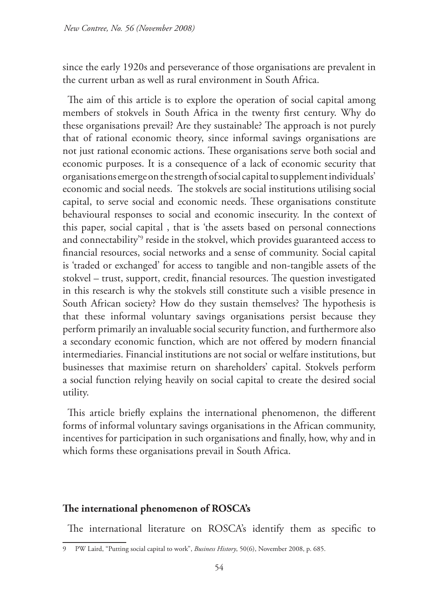since the early 1920s and perseverance of those organisations are prevalent in the current urban as well as rural environment in South Africa.

The aim of this article is to explore the operation of social capital among members of stokvels in South Africa in the twenty first century. Why do these organisations prevail? Are they sustainable? The approach is not purely that of rational economic theory, since informal savings organisations are not just rational economic actions. These organisations serve both social and economic purposes. It is a consequence of a lack of economic security that organisations emerge on the strength of social capital to supplement individuals' economic and social needs. The stokvels are social institutions utilising social capital, to serve social and economic needs. These organisations constitute behavioural responses to social and economic insecurity. In the context of this paper, social capital , that is 'the assets based on personal connections and connectability'9 reside in the stokvel, which provides guaranteed access to financial resources, social networks and a sense of community. Social capital is 'traded or exchanged' for access to tangible and non-tangible assets of the stokvel – trust, support, credit, financial resources. The question investigated in this research is why the stokvels still constitute such a visible presence in South African society? How do they sustain themselves? The hypothesis is that these informal voluntary savings organisations persist because they perform primarily an invaluable social security function, and furthermore also a secondary economic function, which are not offered by modern financial intermediaries. Financial institutions are not social or welfare institutions, but businesses that maximise return on shareholders' capital. Stokvels perform a social function relying heavily on social capital to create the desired social utility.

This article briefly explains the international phenomenon, the different forms of informal voluntary savings organisations in the African community, incentives for participation in such organisations and finally, how, why and in which forms these organisations prevail in South Africa.

## **The international phenomenon of ROSCA's**

The international literature on ROSCA's identify them as specific to

<sup>9</sup> PW Laird, "Putting social capital to work", *Business History*, 50(6), November 2008, p. 685.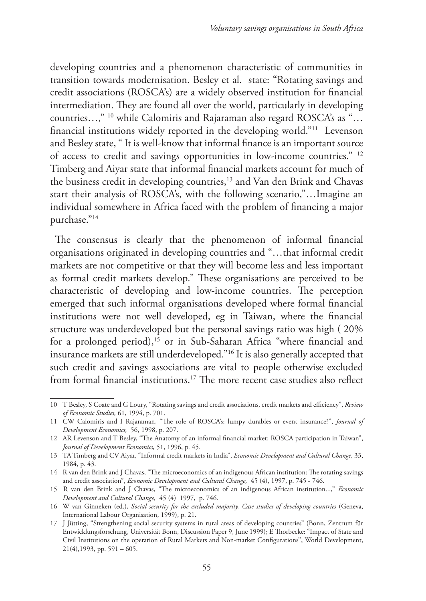developing countries and a phenomenon characteristic of communities in transition towards modernisation. Besley et al. state: "Rotating savings and credit associations (ROSCA's) are a widely observed institution for financial intermediation. They are found all over the world, particularly in developing countries…," 10 while Calomiris and Rajaraman also regard ROSCA's as "… financial institutions widely reported in the developing world."11 Levenson and Besley state, " It is well-know that informal finance is an important source of access to credit and savings opportunities in low-income countries." 12 Timberg and Aiyar state that informal financial markets account for much of the business credit in developing countries,<sup>13</sup> and Van den Brink and Chavas start their analysis of ROSCA's, with the following scenario,"…Imagine an individual somewhere in Africa faced with the problem of financing a major purchase."14

The consensus is clearly that the phenomenon of informal financial organisations originated in developing countries and "…that informal credit markets are not competitive or that they will become less and less important as formal credit markets develop." These organisations are perceived to be characteristic of developing and low-income countries. The perception emerged that such informal organisations developed where formal financial institutions were not well developed, eg in Taiwan, where the financial structure was underdeveloped but the personal savings ratio was high ( 20% for a prolonged period),<sup>15</sup> or in Sub-Saharan Africa "where financial and insurance markets are still underdeveloped."16 It is also generally accepted that such credit and savings associations are vital to people otherwise excluded from formal financial institutions.17 The more recent case studies also reflect

<sup>10</sup> T Besley, S Coate and G Loury, "Rotating savings and credit associations, credit markets and efficiency", *Review of Economic Studies,* 61, 1994, p. 701.

<sup>11</sup> CW Calomiris and I Rajaraman, "The role of ROSCA's: lumpy durables or event insurance?", *Journal of Development Economics,* 56, 1998, p. 207.

<sup>12</sup> AR Levenson and T Besley, "The Anatomy of an informal financial market: ROSCA participation in Taiwan", *Journal of Development Economics,* 51, 1996, p. 45.

<sup>13</sup> TA Timberg and CV Aiyar, "Informal credit markets in India", *Economic Development and Cultural Change,* 33, 1984, p. 43.

<sup>14</sup> R van den Brink and J Chavas, "The microeconomics of an indigenous African institution: The rotating savings and credit association", *Economic Development and Cultural Change,* 45 (4), 1997, p. 745 - 746.

<sup>15</sup> R van den Brink and J Chavas, "The microeconomics of an indigenous African institution...," *Economic Development and Cultural Change*, 45 (4) 1997, p. 746.

<sup>16</sup> W van Ginneken (ed.), *Social security for the excluded majority. Case studies of developing countries* (Geneva, International Labour Organisation, 1999), p. 21.

<sup>17</sup> J Jütting, "Strengthening social security systems in rural areas of developing countries" (Bonn, Zentrum für Entwicklungsforschung, Universität Bonn, Discussion Paper 9, June 1999); E Thorbecke: "Impact of State and Civil Institutions on the operation of Rural Markets and Non-market Configurations", World Development,  $21(4)$ ,1993, pp. 591 – 605.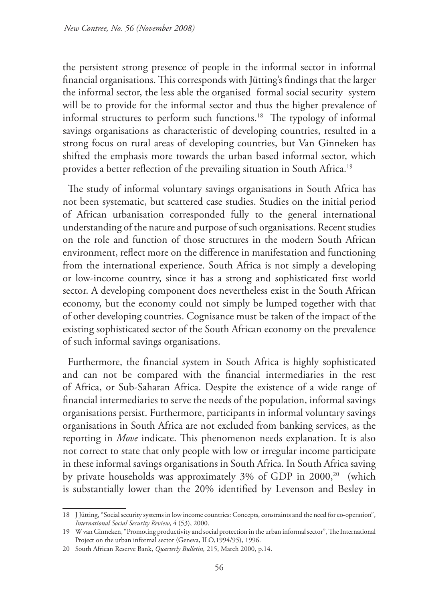the persistent strong presence of people in the informal sector in informal financial organisations. This corresponds with Jütting's findings that the larger the informal sector, the less able the organised formal social security system will be to provide for the informal sector and thus the higher prevalence of informal structures to perform such functions.<sup>18</sup> The typology of informal savings organisations as characteristic of developing countries, resulted in a strong focus on rural areas of developing countries, but Van Ginneken has shifted the emphasis more towards the urban based informal sector, which provides a better reflection of the prevailing situation in South Africa.19

The study of informal voluntary savings organisations in South Africa has not been systematic, but scattered case studies. Studies on the initial period of African urbanisation corresponded fully to the general international understanding of the nature and purpose of such organisations. Recent studies on the role and function of those structures in the modern South African environment, reflect more on the difference in manifestation and functioning from the international experience. South Africa is not simply a developing or low-income country, since it has a strong and sophisticated first world sector. A developing component does nevertheless exist in the South African economy, but the economy could not simply be lumped together with that of other developing countries. Cognisance must be taken of the impact of the existing sophisticated sector of the South African economy on the prevalence of such informal savings organisations.

Furthermore, the financial system in South Africa is highly sophisticated and can not be compared with the financial intermediaries in the rest of Africa, or Sub-Saharan Africa. Despite the existence of a wide range of financial intermediaries to serve the needs of the population, informal savings organisations persist. Furthermore, participants in informal voluntary savings organisations in South Africa are not excluded from banking services, as the reporting in *Move* indicate. This phenomenon needs explanation. It is also not correct to state that only people with low or irregular income participate in these informal savings organisations in South Africa. In South Africa saving by private households was approximately 3% of GDP in 2000,<sup>20</sup> (which is substantially lower than the 20% identified by Levenson and Besley in

<sup>18</sup> J Jütting, "Social security systems in low income countries: Concepts, constraints and the need for co-operation", *International Social Security Review*, 4 (53), 2000.

<sup>19</sup> W van Ginneken, "Promoting productivity and social protection in the urban informal sector", The International Project on the urban informal sector (Geneva, ILO,1994/95), 1996.

<sup>20</sup> South African Reserve Bank, *Quarterly Bulletin,* 215, March 2000, p.14.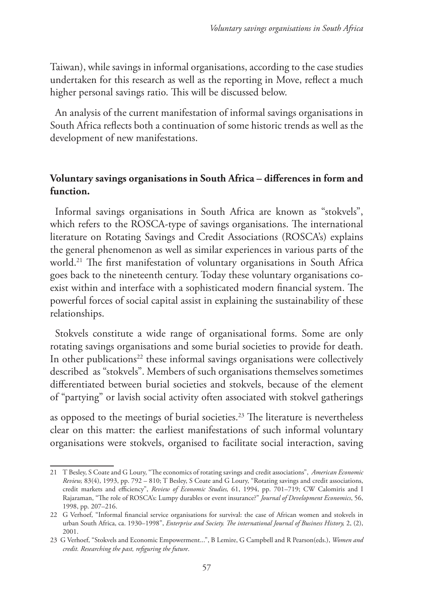Taiwan), while savings in informal organisations, according to the case studies undertaken for this research as well as the reporting in Move, reflect a much higher personal savings ratio. This will be discussed below.

An analysis of the current manifestation of informal savings organisations in South Africa reflects both a continuation of some historic trends as well as the development of new manifestations.

# **Voluntary savings organisations in South Africa – differences in form and function.**

Informal savings organisations in South Africa are known as "stokvels", which refers to the ROSCA-type of savings organisations. The international literature on Rotating Savings and Credit Associations (ROSCA's) explains the general phenomenon as well as similar experiences in various parts of the world.21 The first manifestation of voluntary organisations in South Africa goes back to the nineteenth century. Today these voluntary organisations coexist within and interface with a sophisticated modern financial system. The powerful forces of social capital assist in explaining the sustainability of these relationships.

Stokvels constitute a wide range of organisational forms. Some are only rotating savings organisations and some burial societies to provide for death. In other publications<sup>22</sup> these informal savings organisations were collectively described as "stokvels". Members of such organisations themselves sometimes differentiated between burial societies and stokvels, because of the element of "partying" or lavish social activity often associated with stokvel gatherings

as opposed to the meetings of burial societies.<sup>23</sup> The literature is nevertheless clear on this matter: the earliest manifestations of such informal voluntary organisations were stokvels, organised to facilitate social interaction, saving

<sup>21</sup> T Besley, S Coate and G Loury, "The economics of rotating savings and credit associations", *American Economic Review,* 83(4), 1993, pp. 792 – 810; T Besley, S Coate and G Loury, "Rotating savings and credit associations, credit markets and efficiency", *Review of Economic Studies,* 61, 1994, pp. 701–719; CW Calomiris and I Rajaraman, "The role of ROSCA's: Lumpy durables or event insurance?" *Journal of Development Economics*, 56, 1998, pp. 207–216.

<sup>22</sup> G Verhoef, "Informal financial service organisations for survival: the case of African women and stokvels in urban South Africa, ca. 1930–1998", *Enterprise and Society. The international Journal of Business History,* 2, (2), 2001.

<sup>23</sup> G Verhoef, "Stokvels and Economic Empowerment...", B Lemire, G Campbell and R Pearson(eds.), *Women and credit. Researching the past, refiguring the future*.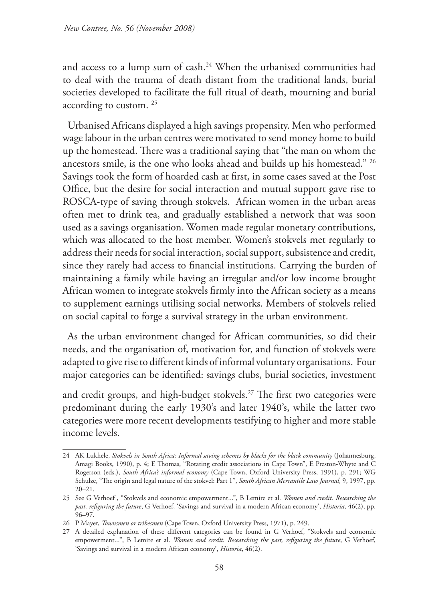and access to a lump sum of cash.24 When the urbanised communities had to deal with the trauma of death distant from the traditional lands, burial societies developed to facilitate the full ritual of death, mourning and burial according to custom. 25

Urbanised Africans displayed a high savings propensity. Men who performed wage labour in the urban centres were motivated to send money home to build up the homestead. There was a traditional saying that "the man on whom the ancestors smile, is the one who looks ahead and builds up his homestead." 26 Savings took the form of hoarded cash at first, in some cases saved at the Post Office, but the desire for social interaction and mutual support gave rise to ROSCA-type of saving through stokvels. African women in the urban areas often met to drink tea, and gradually established a network that was soon used as a savings organisation. Women made regular monetary contributions, which was allocated to the host member. Women's stokvels met regularly to address their needs for social interaction, social support, subsistence and credit, since they rarely had access to financial institutions. Carrying the burden of maintaining a family while having an irregular and/or low income brought African women to integrate stokvels firmly into the African society as a means to supplement earnings utilising social networks. Members of stokvels relied on social capital to forge a survival strategy in the urban environment.

As the urban environment changed for African communities, so did their needs, and the organisation of, motivation for, and function of stokvels were adapted to give rise to different kinds of informal voluntary organisations. Four major categories can be identified: savings clubs, burial societies, investment

and credit groups, and high-budget stokvels.<sup>27</sup> The first two categories were predominant during the early 1930's and later 1940's, while the latter two categories were more recent developments testifying to higher and more stable income levels.

<sup>24</sup> AK Lukhele, *Stokvels in South Africa: Informal saving schemes by blacks for the black community* (Johannesburg, Amagi Books, 1990), p. 4; E Thomas, "Rotating credit associations in Cape Town", E Preston-Whyte and C Rogerson (eds.), *South Africa's informal economy* (Cape Town, Oxford University Press, 1991), p. 291; WG Schulze, "The origin and legal nature of the stokvel: Part 1", *South African Mercantile Law Journal*, 9, 1997, pp. 20–21.

<sup>25</sup> See G Verhoef , "Stokvels and economic empowerment...", B Lemire et al. *Women and credit. Researching the past, refiguring the future*, G Verhoef, 'Savings and survival in a modern African economy', *Historia*, 46(2), pp. 96–97.

<sup>26</sup> P Mayer, *Townsmen or tribesmen* (Cape Town, Oxford University Press, 1971), p. 249.

<sup>27</sup> A detailed explanation of these different categories can be found in G Verhoef, "Stokvels and economic empowerment...", B Lemire et al. *Women and credit. Researching the past, refiguring the future*, G Verhoef, 'Savings and survival in a modern African economy', *Historia*, 46(2).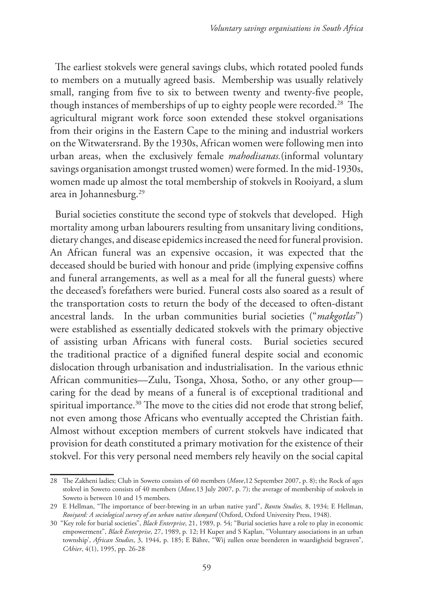The earliest stokvels were general savings clubs, which rotated pooled funds to members on a mutually agreed basis. Membership was usually relatively small, ranging from five to six to between twenty and twenty-five people, though instances of memberships of up to eighty people were recorded.28 The agricultural migrant work force soon extended these stokvel organisations from their origins in the Eastern Cape to the mining and industrial workers on the Witwatersrand. By the 1930s, African women were following men into urban areas, when the exclusively female *mahodisanas.*(informal voluntary savings organisation amongst trusted women) were formed. In the mid-1930s, women made up almost the total membership of stokvels in Rooiyard, a slum area in Johannesburg.29

Burial societies constitute the second type of stokvels that developed. High mortality among urban labourers resulting from unsanitary living conditions, dietary changes, and disease epidemics increased the need for funeral provision. An African funeral was an expensive occasion, it was expected that the deceased should be buried with honour and pride (implying expensive coffins and funeral arrangements, as well as a meal for all the funeral guests) where the deceased's forefathers were buried. Funeral costs also soared as a result of the transportation costs to return the body of the deceased to often-distant ancestral lands. In the urban communities burial societies ("*makgotlas*") were established as essentially dedicated stokvels with the primary objective of assisting urban Africans with funeral costs. Burial societies secured the traditional practice of a dignified funeral despite social and economic dislocation through urbanisation and industrialisation. In the various ethnic African communities—Zulu, Tsonga, Xhosa, Sotho, or any other group caring for the dead by means of a funeral is of exceptional traditional and spiritual importance.<sup>30</sup> The move to the cities did not erode that strong belief, not even among those Africans who eventually accepted the Christian faith. Almost without exception members of current stokvels have indicated that provision for death constituted a primary motivation for the existence of their stokvel. For this very personal need members rely heavily on the social capital

<sup>28</sup> The Zakheni ladies; Club in Soweto consists of 60 members (*Move*,12 September 2007, p. 8); the Rock of ages stokvel in Soweto consists of 40 members (*Move,*13 July 2007, p. 7); the average of membership of stokvels in Soweto is between 10 and 15 members.

<sup>29</sup> E Hellman, "The importance of beer-brewing in an urban native yard", *Bantu Studies,* 8, 1934; E Hellman, *Rooiyard: A sociological survey of an urban native slumyard* (Oxford, Oxford University Press, 1948).

<sup>30 &</sup>quot;Key role for burial societies", *Black Enterprise*, 21, 1989, p. 54; "Burial societies have a role to play in economic empowerment", *Black Enterprise*, 27, 1989, p. 12; H Kuper and S Kaplan, "Voluntary associations in an urban township', *African Studies*, 3, 1944, p. 185; E Bähre, "Wij zullen onze beenderen in waardigheid begraven", *CAhier*, 4(1), 1995, pp. 26-28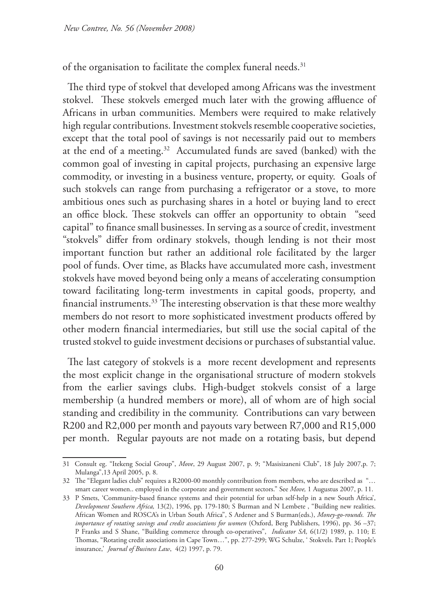of the organisation to facilitate the complex funeral needs.<sup>31</sup>

The third type of stokvel that developed among Africans was the investment stokvel. These stokvels emerged much later with the growing affluence of Africans in urban communities. Members were required to make relatively high regular contributions. Investment stokvels resemble cooperative societies, except that the total pool of savings is not necessarily paid out to members at the end of a meeting.32 Accumulated funds are saved (banked) with the common goal of investing in capital projects, purchasing an expensive large commodity, or investing in a business venture, property, or equity. Goals of such stokvels can range from purchasing a refrigerator or a stove, to more ambitious ones such as purchasing shares in a hotel or buying land to erect an office block. These stokvels can offfer an opportunity to obtain "seed capital" to finance small businesses. In serving as a source of credit, investment "stokvels" differ from ordinary stokvels, though lending is not their most important function but rather an additional role facilitated by the larger pool of funds. Over time, as Blacks have accumulated more cash, investment stokvels have moved beyond being only a means of accelerating consumption toward facilitating long-term investments in capital goods, property, and financial instruments.33 The interesting observation is that these more wealthy members do not resort to more sophisticated investment products offered by other modern financial intermediaries, but still use the social capital of the trusted stokvel to guide investment decisions or purchases of substantial value.

The last category of stokvels is a more recent development and represents the most explicit change in the organisational structure of modern stokvels from the earlier savings clubs. High-budget stokvels consist of a large membership (a hundred members or more), all of whom are of high social standing and credibility in the community. Contributions can vary between R200 and R2,000 per month and payouts vary between R7,000 and R15,000 per month. Regular payouts are not made on a rotating basis, but depend

<sup>31</sup> Consult eg. "Itekeng Social Group", *Move*, 29 August 2007, p. 9; "Masisizaneni Club", 18 July 2007,p. 7; Mulanga",13 April 2005, p. 8.

<sup>32</sup> The "Elegant ladies club" requires a R2000-00 monthly contribution from members, who are described as "… smart career women.. employed in the corporate and government sectors." See *Move,* 1 Augustus 2007, p. 11.

<sup>33</sup> P Smets, 'Community-based finance systems and their potential for urban self-help in a new South Africa', *Development Southern Africa,* 13(2), 1996, pp. 179-180; S Burman and N Lembete , "Building new realities. African Women and ROSCA's in Urban South Africa", S Ardener and S Burman(eds.), *Money-go-rounds. The importance of rotating savings and credit associations for women* (Oxford, Berg Publishers, 1996), pp. 36 –37; P Franks and S Shane, "Building commerce through co-operatives", *Indicator SA,* 6(1/2) 1989, p. 110; E Thomas, "Rotating credit associations in Cape Town…", pp. 277-299; WG Schulze, ' Stokvels. Part 1; People's insurance,' *Journal of Business Law*, 4(2) 1997, p. 79.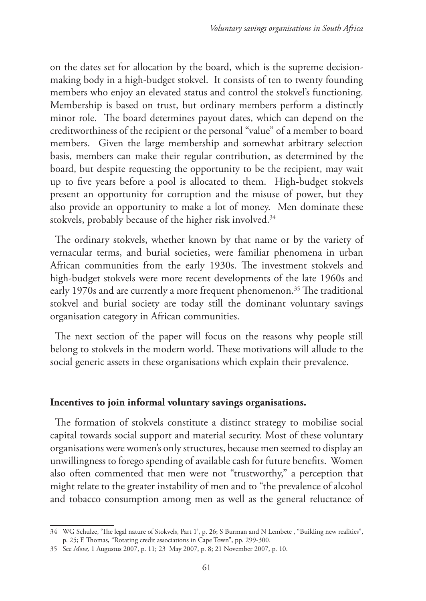on the dates set for allocation by the board, which is the supreme decisionmaking body in a high-budget stokvel. It consists of ten to twenty founding members who enjoy an elevated status and control the stokvel's functioning. Membership is based on trust, but ordinary members perform a distinctly minor role. The board determines payout dates, which can depend on the creditworthiness of the recipient or the personal "value" of a member to board members. Given the large membership and somewhat arbitrary selection basis, members can make their regular contribution, as determined by the board, but despite requesting the opportunity to be the recipient, may wait up to five years before a pool is allocated to them. High-budget stokvels present an opportunity for corruption and the misuse of power, but they also provide an opportunity to make a lot of money. Men dominate these stokvels, probably because of the higher risk involved.<sup>34</sup>

The ordinary stokvels, whether known by that name or by the variety of vernacular terms, and burial societies, were familiar phenomena in urban African communities from the early 1930s. The investment stokvels and high-budget stokvels were more recent developments of the late 1960s and early 1970s and are currently a more frequent phenomenon.<sup>35</sup> The traditional stokvel and burial society are today still the dominant voluntary savings organisation category in African communities.

The next section of the paper will focus on the reasons why people still belong to stokvels in the modern world. These motivations will allude to the social generic assets in these organisations which explain their prevalence.

## **Incentives to join informal voluntary savings organisations.**

The formation of stokvels constitute a distinct strategy to mobilise social capital towards social support and material security. Most of these voluntary organisations were women's only structures, because men seemed to display an unwillingness to forego spending of available cash for future benefits. Women also often commented that men were not "trustworthy," a perception that might relate to the greater instability of men and to "the prevalence of alcohol and tobacco consumption among men as well as the general reluctance of

<sup>34</sup> WG Schulze, 'The legal nature of Stokvels, Part 1', p. 26; S Burman and N Lembete , "Building new realities", p. 25; E Thomas, "Rotating credit associations in Cape Town", pp. 299-300.

<sup>35</sup> See *Move,* 1 Augustus 2007, p. 11; 23 May 2007, p. 8; 21 November 2007, p. 10.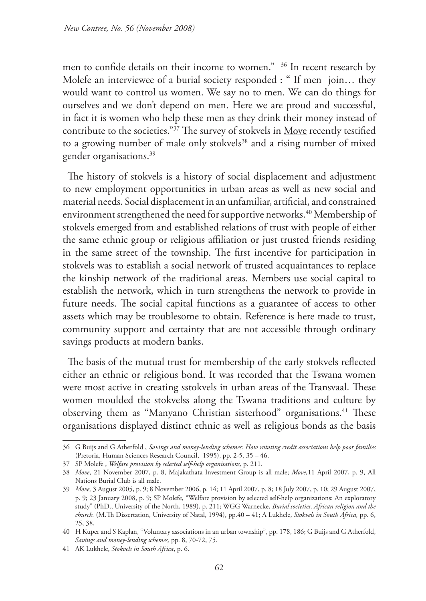men to confide details on their income to women." 36 In recent research by Molefe an interviewee of a burial society responded : " If men join… they would want to control us women. We say no to men. We can do things for ourselves and we don't depend on men. Here we are proud and successful, in fact it is women who help these men as they drink their money instead of contribute to the societies."37 The survey of stokvels in Move recently testified to a growing number of male only stokvels<sup>38</sup> and a rising number of mixed gender organisations.<sup>39</sup>

The history of stokvels is a history of social displacement and adjustment to new employment opportunities in urban areas as well as new social and material needs. Social displacement in an unfamiliar, artificial, and constrained environment strengthened the need for supportive networks.<sup>40</sup> Membership of stokvels emerged from and established relations of trust with people of either the same ethnic group or religious affiliation or just trusted friends residing in the same street of the township. The first incentive for participation in stokvels was to establish a social network of trusted acquaintances to replace the kinship network of the traditional areas. Members use social capital to establish the network, which in turn strengthens the network to provide in future needs. The social capital functions as a guarantee of access to other assets which may be troublesome to obtain. Reference is here made to trust, community support and certainty that are not accessible through ordinary savings products at modern banks.

The basis of the mutual trust for membership of the early stokvels reflected either an ethnic or religious bond. It was recorded that the Tswana women were most active in creating sstokvels in urban areas of the Transvaal. These women moulded the stokvelss along the Tswana traditions and culture by observing them as "Manyano Christian sisterhood" organisations.<sup>41</sup> These organisations displayed distinct ethnic as well as religious bonds as the basis

<sup>36</sup> G Buijs and G Atherfold , *Savings and money-lending schemes: How rotating credit associations help poor families* (Pretoria, Human Sciences Research Council, 1995), pp. 2-5, 35 – 46.

<sup>37</sup> SP Molefe , *Welfare provision by selected self-help organisations,* p. 211.

<sup>38</sup> *Move*, 21 November 2007, p. 8, Majakathata Investment Group is all male; *Move,*11 April 2007, p. 9, All Nations Burial Club is all male.

<sup>39</sup> *Move,* 3 August 2005, p. 9; 8 November 2006, p. 14; 11 April 2007, p. 8; 18 July 2007, p. 10; 29 August 2007, p. 9; 23 January 2008, p. 9; SP Molefe, "Welfare provision by selected self-help organizations: An exploratory study" (PhD., University of the North, 1989), p. 211; WGG Warnecke, *Burial societies, African religion and the church.* (M.Th Dissertation, University of Natal, 1994), pp.40 – 41; A Lukhele, *Stokvels in South Africa,* pp. 6, 25, 38.

<sup>40</sup> H Kuper and S Kaplan, "Voluntary associations in an urban township", pp. 178, 186; G Buijs and G Atherfold, *Savings and money-lending schemes,* pp. 8, 70-72, 75.

<sup>41</sup> AK Lukhele, *Stokvels in South Africa*, p. 6.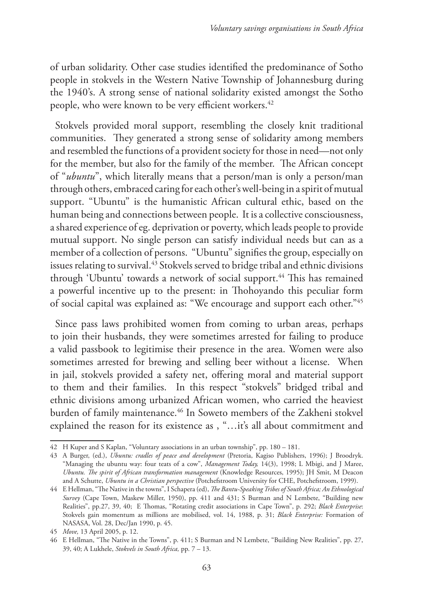of urban solidarity. Other case studies identified the predominance of Sotho people in stokvels in the Western Native Township of Johannesburg during the 1940's. A strong sense of national solidarity existed amongst the Sotho people, who were known to be very efficient workers.<sup>42</sup>

Stokvels provided moral support, resembling the closely knit traditional communities. They generated a strong sense of solidarity among members and resembled the functions of a provident society for those in need—not only for the member, but also for the family of the member. The African concept of "*ubuntu*", which literally means that a person/man is only a person/man through others, embraced caring for each other's well-being in a spirit of mutual support. "Ubuntu" is the humanistic African cultural ethic, based on the human being and connections between people. It is a collective consciousness, a shared experience of eg. deprivation or poverty, which leads people to provide mutual support. No single person can satisfy individual needs but can as a member of a collection of persons. "Ubuntu" signifies the group, especially on issues relating to survival.<sup>43</sup> Stokvels served to bridge tribal and ethnic divisions through 'Ubuntu' towards a network of social support.<sup>44</sup> This has remained a powerful incentive up to the present: in Thohoyando this peculiar form of social capital was explained as: "We encourage and support each other."45

Since pass laws prohibited women from coming to urban areas, perhaps to join their husbands, they were sometimes arrested for failing to produce a valid passbook to legitimise their presence in the area. Women were also sometimes arrested for brewing and selling beer without a license. When in jail, stokvels provided a safety net, offering moral and material support to them and their families. In this respect "stokvels" bridged tribal and ethnic divisions among urbanized African women, who carried the heaviest burden of family maintenance.<sup>46</sup> In Soweto members of the Zakheni stokvel explained the reason for its existence as , "…it's all about commitment and

<sup>42</sup> H Kuper and S Kaplan, "Voluntary associations in an urban township", pp. 180 – 181.

<sup>43</sup> A Burger, (ed.), *Ubuntu: cradles of peace and development* (Pretoria, Kagiso Publishers, 1996); J Broodryk. "Managing the ubuntu way: four teats of a cow", *Management Today,* 14(3), 1998; L Mbigi, and J Maree, *Ubuntu. The spirit of African transformation management* (Knowledge Resources, 1995); JH Smit, M Deacon and A Schutte, *Ubuntu in a Christian perspective* (Potchefstroom University for CHE, Potchefstroom, 1999).

<sup>44</sup> E Hellman, "The Native in the towns", I Schapera (ed), *The Bantu-Speaking Tribes of South Africa; An Ethnological Survey* (Cape Town, Maskew Miller, 1950), pp. 411 and 431; S Burman and N Lembete, "Building new Realities", pp.27, 39, 40; E Thomas, "Rotating credit associations in Cape Town", p. 292; *Black Enterprise*: Stokvels gain momentum as millions are mobilised, vol. 14, 1988, p. 31; *Black Enterprise:* Formation of NASASA, Vol. 28, Dec/Jan 1990, p. 45.

<sup>45</sup> *Move,* 13 April 2005, p. 12.

<sup>46</sup> E Hellman, "The Native in the Towns", p. 411; S Burman and N Lembete, "Building New Realities", pp. 27, 39, 40; A Lukhele, *Stokvels in South Africa,* pp. 7 – 13.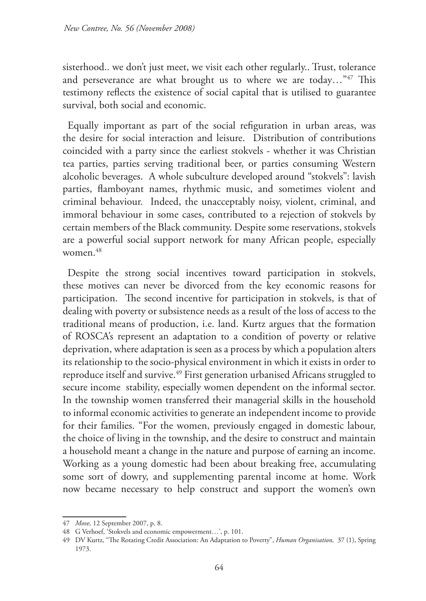sisterhood.. we don't just meet, we visit each other regularly.. Trust, tolerance and perseverance are what brought us to where we are today..."<sup>47</sup> This testimony reflects the existence of social capital that is utilised to guarantee survival, both social and economic.

Equally important as part of the social refiguration in urban areas, was the desire for social interaction and leisure. Distribution of contributions coincided with a party since the earliest stokvels - whether it was Christian tea parties, parties serving traditional beer, or parties consuming Western alcoholic beverages. A whole subculture developed around "stokvels": lavish parties, flamboyant names, rhythmic music, and sometimes violent and criminal behaviour. Indeed, the unacceptably noisy, violent, criminal, and immoral behaviour in some cases, contributed to a rejection of stokvels by certain members of the Black community. Despite some reservations, stokvels are a powerful social support network for many African people, especially women<sup>48</sup>

Despite the strong social incentives toward participation in stokvels, these motives can never be divorced from the key economic reasons for participation. The second incentive for participation in stokvels, is that of dealing with poverty or subsistence needs as a result of the loss of access to the traditional means of production, i.e. land. Kurtz argues that the formation of ROSCA's represent an adaptation to a condition of poverty or relative deprivation, where adaptation is seen as a process by which a population alters its relationship to the socio-physical environment in which it exists in order to reproduce itself and survive.<sup>49</sup> First generation urbanised Africans struggled to secure income stability, especially women dependent on the informal sector. In the township women transferred their managerial skills in the household to informal economic activities to generate an independent income to provide for their families. "For the women, previously engaged in domestic labour, the choice of living in the township, and the desire to construct and maintain a household meant a change in the nature and purpose of earning an income. Working as a young domestic had been about breaking free, accumulating some sort of dowry, and supplementing parental income at home. Work now became necessary to help construct and support the women's own

<sup>47</sup> *Move,* 12 September 2007, p. 8.

<sup>48</sup> G Verhoef, 'Stokvels and economic empowerment…', p. 101.

<sup>49</sup> DV Kurtz, "The Rotating Credit Association: An Adaptation to Poverty", *Human Organisation,* 37 (1), Spring 1973.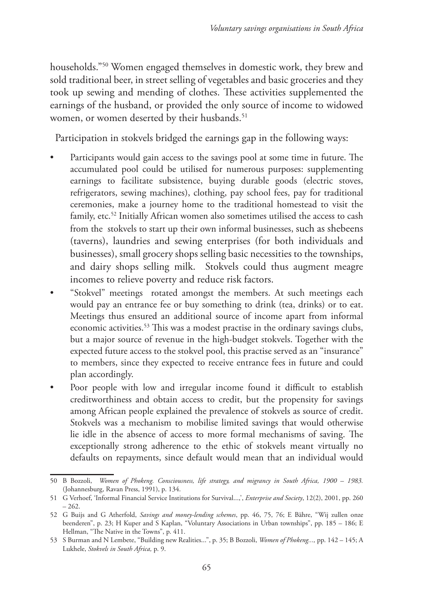households."50 Women engaged themselves in domestic work, they brew and sold traditional beer, in street selling of vegetables and basic groceries and they took up sewing and mending of clothes. These activities supplemented the earnings of the husband, or provided the only source of income to widowed women, or women deserted by their husbands.<sup>51</sup>

Participation in stokvels bridged the earnings gap in the following ways:

- Participants would gain access to the savings pool at some time in future. The accumulated pool could be utilised for numerous purposes: supplementing earnings to facilitate subsistence, buying durable goods (electric stoves, refrigerators, sewing machines), clothing, pay school fees, pay for traditional ceremonies, make a journey home to the traditional homestead to visit the family, etc.<sup>52</sup> Initially African women also sometimes utilised the access to cash from the stokvels to start up their own informal businesses, such as shebeens (taverns), laundries and sewing enterprises (for both individuals and businesses), small grocery shops selling basic necessities to the townships, and dairy shops selling milk. Stokvels could thus augment meagre incomes to relieve poverty and reduce risk factors.
- "Stokvel" meetings rotated amongst the members. At such meetings each would pay an entrance fee or buy something to drink (tea, drinks) or to eat. Meetings thus ensured an additional source of income apart from informal economic activities.<sup>53</sup> This was a modest practise in the ordinary savings clubs, but a major source of revenue in the high-budget stokvels. Together with the expected future access to the stokvel pool, this practise served as an "insurance" to members, since they expected to receive entrance fees in future and could plan accordingly.
- Poor people with low and irregular income found it difficult to establish creditworthiness and obtain access to credit, but the propensity for savings among African people explained the prevalence of stokvels as source of credit. Stokvels was a mechanism to mobilise limited savings that would otherwise lie idle in the absence of access to more formal mechanisms of saving. The exceptionally strong adherence to the ethic of stokvels meant virtually no defaults on repayments, since default would mean that an individual would

<sup>50</sup> B Bozzoli, *Women of Phokeng. Consciousness, life strategy, and migrancy in South Africa, 1900 – 1983.* (Johannesburg, Ravan Press, 1991), p. 134.

<sup>51</sup> G Verhoef, 'Informal Financial Service Institutions for Survival...,', *Enterprise and Society*, 12(2), 2001, pp. 260 – 262.

<sup>52</sup> G Buijs and G Atherfold, *Savings and money-lending schemes*, pp. 46, 75, 76; E Bähre, "Wij zullen onze beenderen", p. 23; H Kuper and S Kaplan, "Voluntary Associations in Urban townships", pp. 185 – 186; E Hellman, "The Native in the Towns", p. 411.

<sup>53</sup> S Burman and N Lembete, "Building new Realities...", p. 35; B Bozzoli, *Women of Phokeng...,* pp. 142 – 145; A Lukhele, *Stokvels in South Africa,* p. 9.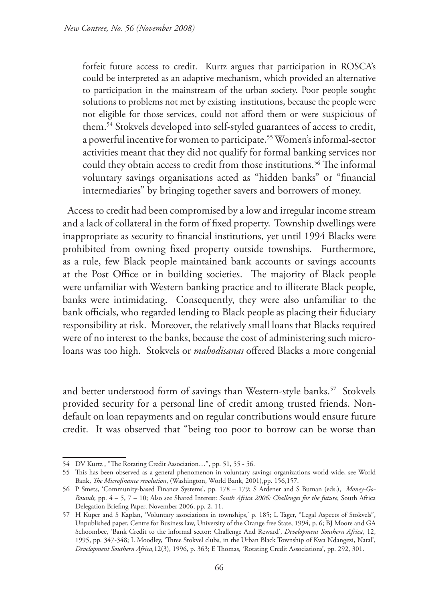forfeit future access to credit. Kurtz argues that participation in ROSCA's could be interpreted as an adaptive mechanism, which provided an alternative to participation in the mainstream of the urban society. Poor people sought solutions to problems not met by existing institutions, because the people were not eligible for those services, could not afford them or were suspicious of them.54 Stokvels developed into self-styled guarantees of access to credit, a powerful incentive for women to participate.55 Women's informal-sector activities meant that they did not qualify for formal banking services nor could they obtain access to credit from those institutions.<sup>56</sup> The informal voluntary savings organisations acted as "hidden banks" or "financial intermediaries" by bringing together savers and borrowers of money.

Access to credit had been compromised by a low and irregular income stream and a lack of collateral in the form of fixed property. Township dwellings were inappropriate as security to financial institutions, yet until 1994 Blacks were prohibited from owning fixed property outside townships. Furthermore, as a rule, few Black people maintained bank accounts or savings accounts at the Post Office or in building societies. The majority of Black people were unfamiliar with Western banking practice and to illiterate Black people, banks were intimidating. Consequently, they were also unfamiliar to the bank officials, who regarded lending to Black people as placing their fiduciary responsibility at risk. Moreover, the relatively small loans that Blacks required were of no interest to the banks, because the cost of administering such microloans was too high. Stokvels or *mahodisanas* offered Blacks a more congenial

and better understood form of savings than Western-style banks.<sup>57</sup> Stokvels provided security for a personal line of credit among trusted friends. Nondefault on loan repayments and on regular contributions would ensure future credit. It was observed that "being too poor to borrow can be worse than

<sup>54</sup> DV Kurtz , "The Rotating Credit Association…", pp. 51, 55 - 56.

<sup>55</sup> This has been observed as a general phenomenon in voluntary savings organizations world wide, see World Bank, *The Microfinance revolution*, (Washington, World Bank, 2001),pp. 156,157.

<sup>56</sup> P Smets, 'Community-based Finance Systems', pp. 178 – 179; S Ardener and S Buman (eds.), *Money-Go-Rounds,* pp. 4 – 5, 7 – 10; Also see Shared Interest: *South Africa 2006: Challenges for the future*, South Africa Delegation Briefing Paper, November 2006, pp. 2, 11.

<sup>57</sup> H Kuper and S Kaplan, 'Voluntary associations in townships,' p. 185; L Tager, "Legal Aspects of Stokvels", Unpublished paper, Centre for Business law, University of the Orange free State, 1994, p. 6; BJ Moore and GA Schoombee, 'Bank Credit to the informal sector: Challenge And Reward', *Development Southern Africa*, 12, 1995, pp. 347-348; L Moodley, 'Three Stokvel clubs, in the Urban Black Township of Kwa Ndangezi, Natal', *Development Southern Africa,*12(3), 1996, p. 363; E Thomas, 'Rotating Credit Associations', pp. 292, 301.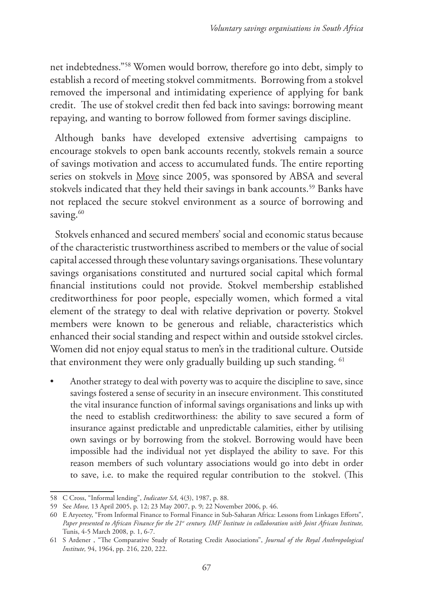net indebtedness."58 Women would borrow, therefore go into debt, simply to establish a record of meeting stokvel commitments. Borrowing from a stokvel removed the impersonal and intimidating experience of applying for bank credit. The use of stokvel credit then fed back into savings: borrowing meant repaying, and wanting to borrow followed from former savings discipline.

Although banks have developed extensive advertising campaigns to encourage stokvels to open bank accounts recently, stokvels remain a source of savings motivation and access to accumulated funds. The entire reporting series on stokvels in Move since 2005, was sponsored by ABSA and several stokvels indicated that they held their savings in bank accounts.<sup>59</sup> Banks have not replaced the secure stokvel environment as a source of borrowing and saving.<sup>60</sup>

Stokvels enhanced and secured members' social and economic status because of the characteristic trustworthiness ascribed to members or the value of social capital accessed through these voluntary savings organisations. These voluntary savings organisations constituted and nurtured social capital which formal financial institutions could not provide. Stokvel membership established creditworthiness for poor people, especially women, which formed a vital element of the strategy to deal with relative deprivation or poverty. Stokvel members were known to be generous and reliable, characteristics which enhanced their social standing and respect within and outside sstokvel circles. Women did not enjoy equal status to men's in the traditional culture. Outside that environment they were only gradually building up such standing. <sup>61</sup>

• Another strategy to deal with poverty was to acquire the discipline to save, since savings fostered a sense of security in an insecure environment. This constituted the vital insurance function of informal savings organisations and links up with the need to establish creditworthiness: the ability to save secured a form of insurance against predictable and unpredictable calamities, either by utilising own savings or by borrowing from the stokvel. Borrowing would have been impossible had the individual not yet displayed the ability to save. For this reason members of such voluntary associations would go into debt in order to save, i.e. to make the required regular contribution to the stokvel. (This

<sup>58</sup> C Cross, "Informal lending", *Indicator SA,* 4(3), 1987, p. 88.

<sup>59</sup> See *Move,* 13 April 2005, p. 12; 23 May 2007, p. 9; 22 November 2006, p. 46.

<sup>60</sup> E Aryeetey, "From Informal Finance to Formal Finance in Sub-Saharan Africa: Lessons from Linkages Efforts", *Paper presented to African Finance for the 21<sup>st</sup> century. IMF Institute in collaboration with Joint African Institute,* Tunis, 4-5 March 2008, p. 1, 6-7.

<sup>61</sup> S Ardener , "The Comparative Study of Rotating Credit Associations", *Journal of the Royal Anthropological Institute,* 94, 1964, pp. 216, 220, 222.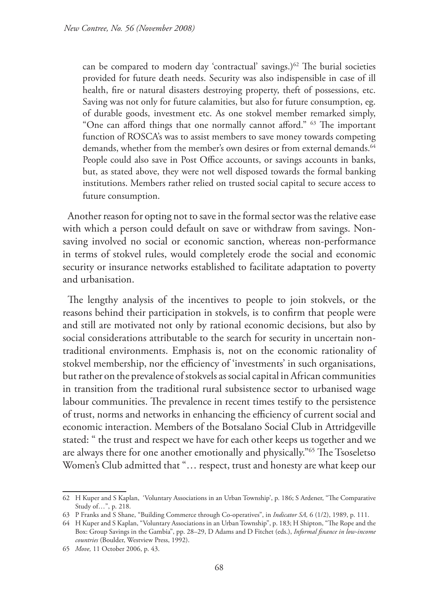can be compared to modern day 'contractual' savings.)<sup>62</sup> The burial societies provided for future death needs. Security was also indispensible in case of ill health, fire or natural disasters destroying property, theft of possessions, etc. Saving was not only for future calamities, but also for future consumption, eg. of durable goods, investment etc. As one stokvel member remarked simply, "One can afford things that one normally cannot afford." 63 The important function of ROSCA's was to assist members to save money towards competing demands, whether from the member's own desires or from external demands.<sup>64</sup> People could also save in Post Office accounts, or savings accounts in banks, but, as stated above, they were not well disposed towards the formal banking institutions. Members rather relied on trusted social capital to secure access to future consumption.

Another reason for opting not to save in the formal sector was the relative ease with which a person could default on save or withdraw from savings. Nonsaving involved no social or economic sanction, whereas non-performance in terms of stokvel rules, would completely erode the social and economic security or insurance networks established to facilitate adaptation to poverty and urbanisation.

The lengthy analysis of the incentives to people to join stokvels, or the reasons behind their participation in stokvels, is to confirm that people were and still are motivated not only by rational economic decisions, but also by social considerations attributable to the search for security in uncertain nontraditional environments. Emphasis is, not on the economic rationality of stokvel membership, nor the efficiency of 'investments' in such organisations, but rather on the prevalence of stokvels as social capital in African communities in transition from the traditional rural subsistence sector to urbanised wage labour communities. The prevalence in recent times testify to the persistence of trust, norms and networks in enhancing the efficiency of current social and economic interaction. Members of the Botsalano Social Club in Attridgeville stated: " the trust and respect we have for each other keeps us together and we are always there for one another emotionally and physically."65 The Tsoseletso Women's Club admitted that "… respect, trust and honesty are what keep our

<sup>62</sup> H Kuper and S Kaplan, 'Voluntary Associations in an Urban Township', p. 186; S Ardener, "The Comparative Study of…", p. 218.

<sup>63</sup> P Franks and S Shane, "Building Commerce through Co-operatives", in *Indicator SA,* 6 (1/2), 1989, p. 111.

<sup>64</sup> H Kuper and S Kaplan, "Voluntary Associations in an Urban Township", p. 183; H Shipton, "The Rope and the Box: Group Savings in the Gambia", pp. 28–29, D Adams and D Fitchet (eds.), *Informal finance in low-income countries* (Boulder, Westview Press, 1992).

<sup>65</sup> *Move,* 11 October 2006, p. 43.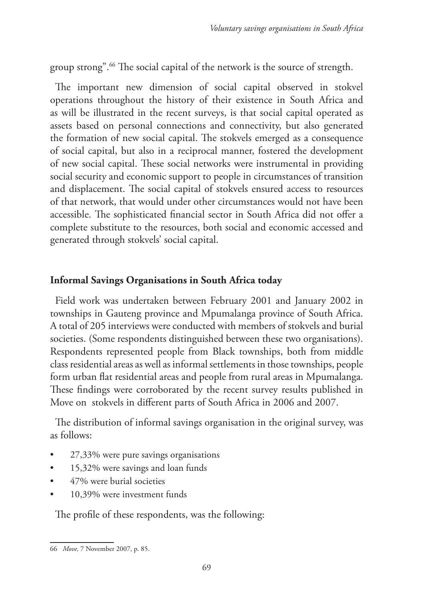group strong".66 The social capital of the network is the source of strength.

The important new dimension of social capital observed in stokvel operations throughout the history of their existence in South Africa and as will be illustrated in the recent surveys, is that social capital operated as assets based on personal connections and connectivity, but also generated the formation of new social capital. The stokvels emerged as a consequence of social capital, but also in a reciprocal manner, fostered the development of new social capital. These social networks were instrumental in providing social security and economic support to people in circumstances of transition and displacement. The social capital of stokvels ensured access to resources of that network, that would under other circumstances would not have been accessible. The sophisticated financial sector in South Africa did not offer a complete substitute to the resources, both social and economic accessed and generated through stokvels' social capital.

# **Informal Savings Organisations in South Africa today**

Field work was undertaken between February 2001 and January 2002 in townships in Gauteng province and Mpumalanga province of South Africa. A total of 205 interviews were conducted with members of stokvels and burial societies. (Some respondents distinguished between these two organisations). Respondents represented people from Black townships, both from middle class residential areas as well as informal settlements in those townships, people form urban flat residential areas and people from rural areas in Mpumalanga. These findings were corroborated by the recent survey results published in Move on stokvels in different parts of South Africa in 2006 and 2007.

The distribution of informal savings organisation in the original survey, was as follows:

- 27,33% were pure savings organisations
- 15,32% were savings and loan funds
- 47% were burial societies
- 10,39% were investment funds

The profile of these respondents, was the following:

<sup>66</sup> *Move,* 7 November 2007, p. 85.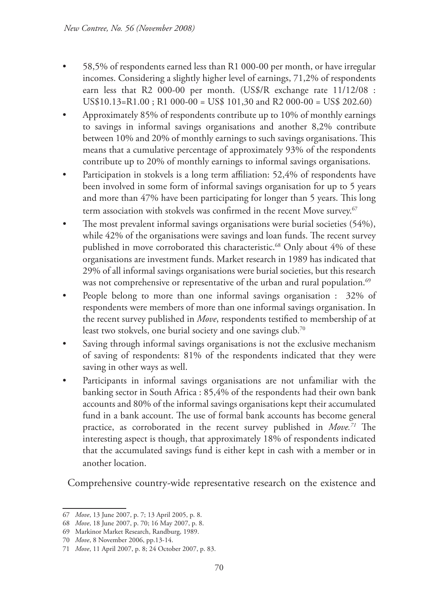- 58,5% of respondents earned less than R1 000-00 per month, or have irregular incomes. Considering a slightly higher level of earnings, 71,2% of respondents earn less that R2 000-00 per month. (US\$/R exchange rate 11/12/08 : US\$10.13=R1.00 ; R1 000-00 = US\$ 101,30 and R2 000-00 = US\$ 202.60)
- Approximately 85% of respondents contribute up to 10% of monthly earnings to savings in informal savings organisations and another 8,2% contribute between 10% and 20% of monthly earnings to such savings organisations. This means that a cumulative percentage of approximately 93% of the respondents contribute up to 20% of monthly earnings to informal savings organisations.
- Participation in stokvels is a long term affiliation: 52,4% of respondents have been involved in some form of informal savings organisation for up to 5 years and more than 47% have been participating for longer than 5 years. This long term association with stokvels was confirmed in the recent Move survey.<sup>67</sup>
- The most prevalent informal savings organisations were burial societies (54%), while 42% of the organisations were savings and loan funds. The recent survey published in move corroborated this characteristic.<sup>68</sup> Only about 4% of these organisations are investment funds. Market research in 1989 has indicated that 29% of all informal savings organisations were burial societies, but this research was not comprehensive or representative of the urban and rural population.<sup>69</sup>
- People belong to more than one informal savings organisation : 32% of respondents were members of more than one informal savings organisation. In the recent survey published in *Move*, respondents testified to membership of at least two stokvels, one burial society and one savings club.<sup>70</sup>
- Saving through informal savings organisations is not the exclusive mechanism of saving of respondents: 81% of the respondents indicated that they were saving in other ways as well.
- Participants in informal savings organisations are not unfamiliar with the banking sector in South Africa : 85,4% of the respondents had their own bank accounts and 80% of the informal savings organisations kept their accumulated fund in a bank account. The use of formal bank accounts has become general practice, as corroborated in the recent survey published in *Move.71* The interesting aspect is though, that approximately 18% of respondents indicated that the accumulated savings fund is either kept in cash with a member or in another location.

Comprehensive country-wide representative research on the existence and

<sup>67</sup> *Move*, 13 June 2007, p. 7; 13 April 2005, p. 8.

<sup>68</sup> *Move*, 18 June 2007, p. 70; 16 May 2007, p. 8.

<sup>69</sup> Markinor Market Research, Randburg, 1989.

<sup>70</sup> *Move*, 8 November 2006, pp.13-14.

<sup>71</sup> *Move*, 11 April 2007, p. 8; 24 October 2007, p. 83.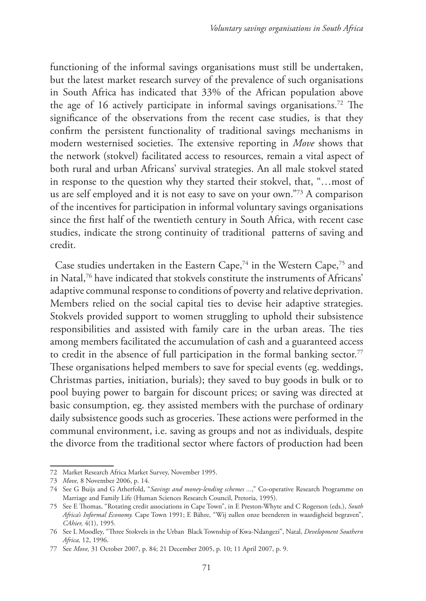functioning of the informal savings organisations must still be undertaken, but the latest market research survey of the prevalence of such organisations in South Africa has indicated that 33% of the African population above the age of 16 actively participate in informal savings organisations.<sup>72</sup> The significance of the observations from the recent case studies, is that they confirm the persistent functionality of traditional savings mechanisms in modern westernised societies. The extensive reporting in *Move* shows that the network (stokvel) facilitated access to resources, remain a vital aspect of both rural and urban Africans' survival strategies. An all male stokvel stated in response to the question why they started their stokvel, that, "…most of us are self employed and it is not easy to save on your own."73 A comparison of the incentives for participation in informal voluntary savings organisations since the first half of the twentieth century in South Africa, with recent case studies, indicate the strong continuity of traditional patterns of saving and credit.

Case studies undertaken in the Eastern Cape,<sup>74</sup> in the Western Cape,<sup>75</sup> and in Natal,76 have indicated that stokvels constitute the instruments of Africans' adaptive communal response to conditions of poverty and relative deprivation. Members relied on the social capital ties to devise heir adaptive strategies. Stokvels provided support to women struggling to uphold their subsistence responsibilities and assisted with family care in the urban areas. The ties among members facilitated the accumulation of cash and a guaranteed access to credit in the absence of full participation in the formal banking sector.<sup>77</sup> These organisations helped members to save for special events (eg. weddings, Christmas parties, initiation, burials); they saved to buy goods in bulk or to pool buying power to bargain for discount prices; or saving was directed at basic consumption, eg. they assisted members with the purchase of ordinary daily subsistence goods such as groceries. These actions were performed in the communal environment, i.e. saving as groups and not as individuals, despite the divorce from the traditional sector where factors of production had been

<sup>72</sup> Market Research Africa Market Survey, November 1995.

<sup>73</sup> *Move,* 8 November 2006, p. 14.

<sup>74</sup> See G Buijs and G Atherfold, "*Savings and money-lending schemes ...*," Co-operative Research Programme on Marriage and Family Life (Human Sciences Research Council, Pretoria, 1995).

<sup>75</sup> See E Thomas, "Rotating credit associations in Cape Town", in E Preston-Whyte and C Rogerson (eds.), *South Africa's Informal Economy.* Cape Town 1991; E Bähre, "Wij zullen onze beenderen in waardigheid begraven", *CAhier,* 4(1), 1995*.*

<sup>76</sup> See L Moodley, "Three Stokvels in the Urban Black Township of Kwa-Ndangezi", Natal, *Development Southern Africa,* 12, 1996.

<sup>77</sup> See *Move,* 31 October 2007, p. 84; 21 December 2005, p. 10; 11 April 2007, p. 9.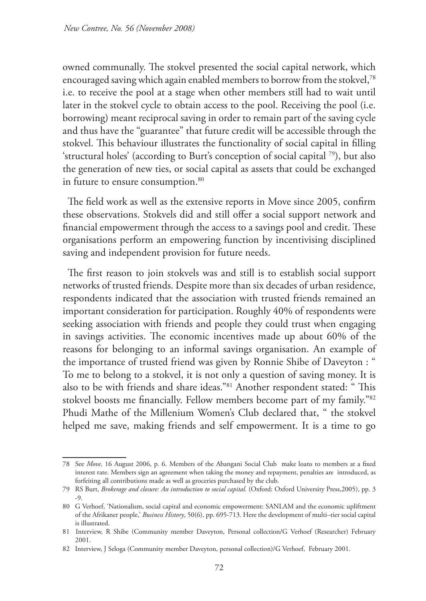owned communally. The stokvel presented the social capital network, which encouraged saving which again enabled members to borrow from the stokvel,<sup>78</sup> i.e. to receive the pool at a stage when other members still had to wait until later in the stokvel cycle to obtain access to the pool. Receiving the pool (i.e. borrowing) meant reciprocal saving in order to remain part of the saving cycle and thus have the "guarantee" that future credit will be accessible through the stokvel. This behaviour illustrates the functionality of social capital in filling 'structural holes' (according to Burt's conception of social capital 79), but also the generation of new ties, or social capital as assets that could be exchanged in future to ensure consumption.<sup>80</sup>

The field work as well as the extensive reports in Move since 2005, confirm these observations. Stokvels did and still offer a social support network and financial empowerment through the access to a savings pool and credit. These organisations perform an empowering function by incentivising disciplined saving and independent provision for future needs.

The first reason to join stokvels was and still is to establish social support networks of trusted friends. Despite more than six decades of urban residence, respondents indicated that the association with trusted friends remained an important consideration for participation. Roughly 40% of respondents were seeking association with friends and people they could trust when engaging in savings activities. The economic incentives made up about 60% of the reasons for belonging to an informal savings organisation. An example of the importance of trusted friend was given by Ronnie Shibe of Daveyton : " To me to belong to a stokvel, it is not only a question of saving money. It is also to be with friends and share ideas."81 Another respondent stated: " This stokvel boosts me financially. Fellow members become part of my family."82 Phudi Mathe of the Millenium Women's Club declared that, " the stokvel helped me save, making friends and self empowerment. It is a time to go

<sup>78</sup> See *Move,* 16 August 2006, p. 6. Members of the Abangani Social Club make loans to members at a fixed interest rate. Members sign an agreement when taking the money and repayment, penalties are introduced, as forfeiting all contributions made as well as groceries purchased by the club.

<sup>79</sup> RS Burt, *Brokerage and closure: An introduction to social capital.* (Oxford: Oxford University Press,2005), pp. 3  $-9$ 

<sup>80</sup> G Verhoef, 'Nationalism, social capital and economic empowerment: SANLAM and the economic upliftment of the Afrikaner people,' *Business History*, 50(6), pp. 695-713. Here the development of multi–tier social capital is illustrated.

<sup>81</sup> Interview, R Shibe (Community member Daveyton, Personal collection/G Verhoef (Researcher) February 2001.

<sup>82</sup> Interview, J Seloga (Community member Daveyton, personal collection)/G Verhoef, February 2001.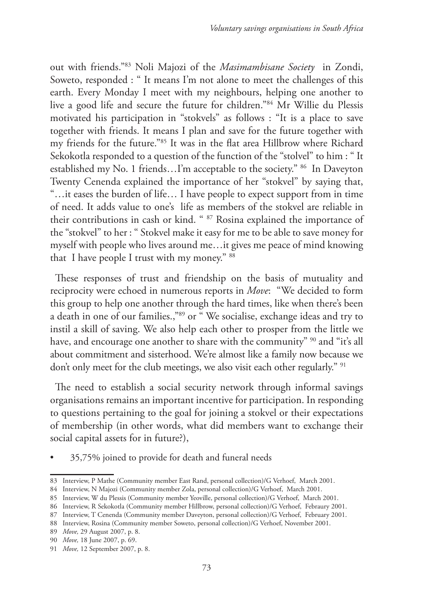out with friends."83 Noli Majozi of the *Masimambisane Society* in Zondi, Soweto, responded : " It means I'm not alone to meet the challenges of this earth. Every Monday I meet with my neighbours, helping one another to live a good life and secure the future for children."84 Mr Willie du Plessis motivated his participation in "stokvels" as follows : "It is a place to save together with friends. It means I plan and save for the future together with my friends for the future."85 It was in the flat area Hillbrow where Richard Sekokotla responded to a question of the function of the "stolvel" to him : " It established my No. 1 friends…I'm acceptable to the society." 86 In Daveyton Twenty Cenenda explained the importance of her "stokvel" by saying that, "…it eases the burden of life… I have people to expect support from in time of need. It adds value to one's life as members of the stokvel are reliable in their contributions in cash or kind. " 87 Rosina explained the importance of the "stokvel" to her : " Stokvel make it easy for me to be able to save money for myself with people who lives around me…it gives me peace of mind knowing that I have people I trust with my money." 88

These responses of trust and friendship on the basis of mutuality and reciprocity were echoed in numerous reports in *Move*: "We decided to form this group to help one another through the hard times, like when there's been a death in one of our families.,"89 or " We socialise, exchange ideas and try to instil a skill of saving. We also help each other to prosper from the little we have, and encourage one another to share with the community" <sup>90</sup> and "it's all about commitment and sisterhood. We're almost like a family now because we don't only meet for the club meetings, we also visit each other regularly." <sup>91</sup>

The need to establish a social security network through informal savings organisations remains an important incentive for participation. In responding to questions pertaining to the goal for joining a stokvel or their expectations of membership (in other words, what did members want to exchange their social capital assets for in future?),

• 35,75% joined to provide for death and funeral needs

<sup>83</sup> Interview, P Mathe (Community member East Rand, personal collection)/G Verhoef, March 2001.

<sup>84</sup> Interview, N Majozi (Community member Zola, personal collection)/G Verhoef, March 2001.

<sup>85</sup> Interview, W du Plessis (Community member Yeoville, personal collection)/G Verhoef, March 2001.

<sup>86</sup> Interview, R Sekokotla (Community member Hillbrow, personal collection)/G Verhoef, Febraury 2001.

<sup>87</sup> Interview, T Cenenda (Community member Daveyton, personal collection)/G Verhoef, February 2001.

<sup>88</sup> Interview, Rosina (Community member Soweto, personal collection)/G Verhoef, November 2001.

<sup>89</sup> *Move,* 29 August 2007, p. 8.

<sup>90</sup> *Move,* 18 June 2007, p. 69.

<sup>91</sup> *Move,* 12 September 2007, p. 8.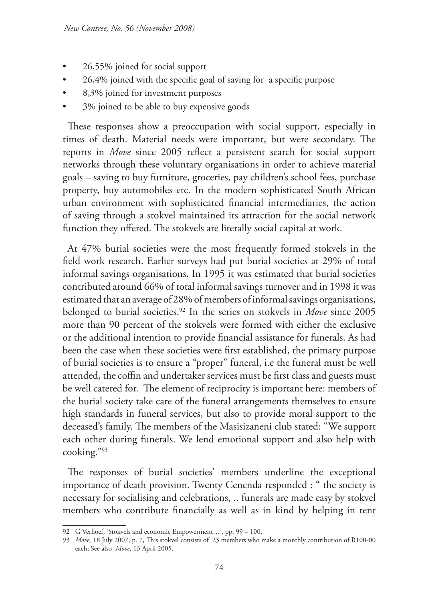- 26,55% joined for social support
- 26,4% joined with the specific goal of saving for a specific purpose
- 8,3% joined for investment purposes
- 3% joined to be able to buy expensive goods

These responses show a preoccupation with social support, especially in times of death. Material needs were important, but were secondary. The reports in *Move* since 2005 reflect a persistent search for social support networks through these voluntary organisations in order to achieve material goals – saving to buy furniture, groceries, pay children's school fees, purchase property, buy automobiles etc. In the modern sophisticated South African urban environment with sophisticated financial intermediaries, the action of saving through a stokvel maintained its attraction for the social network function they offered. The stokvels are literally social capital at work.

At 47% burial societies were the most frequently formed stokvels in the field work research. Earlier surveys had put burial societies at 29% of total informal savings organisations. In 1995 it was estimated that burial societies contributed around 66% of total informal savings turnover and in 1998 it was estimated that an average of 28% of members of informal savings organisations, belonged to burial societies.92 In the series on stokvels in *Move* since 2005 more than 90 percent of the stokvels were formed with either the exclusive or the additional intention to provide financial assistance for funerals. As had been the case when these societies were first established, the primary purpose of burial societies is to ensure a "proper" funeral, i.e the funeral must be well attended, the coffin and undertaker services must be first class and guests must be well catered for. The element of reciprocity is important here: members of the burial society take care of the funeral arrangements themselves to ensure high standards in funeral services, but also to provide moral support to the deceased's family. The members of the Masisizaneni club stated: "We support each other during funerals. We lend emotional support and also help with cooking."93

The responses of burial societies' members underline the exceptional importance of death provision. Twenty Cenenda responded : " the society is necessary for socialising and celebrations, .. funerals are made easy by stokvel members who contribute financially as well as in kind by helping in tent

<sup>92</sup> G Verhoef, 'Stokvels and economic Empowerment…', pp. 99 – 100.

<sup>93</sup> *Move,* 18 July 2007, p. 7, This stokvel consists of 23 members who make a monthly contribution of R100-00 each; See also *Move,* 13 April 2005.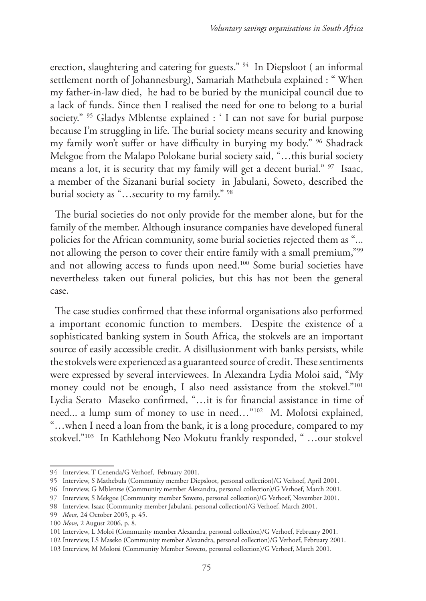erection, slaughtering and catering for guests." 94 In Diepsloot ( an informal settlement north of Johannesburg), Samariah Mathebula explained : " When my father-in-law died, he had to be buried by the municipal council due to a lack of funds. Since then I realised the need for one to belong to a burial society." <sup>95</sup> Gladys Mblentse explained : ' I can not save for burial purpose because I'm struggling in life. The burial society means security and knowing my family won't suffer or have difficulty in burying my body." 96 Shadrack Mekgoe from the Malapo Polokane burial society said, "…this burial society means a lot, it is security that my family will get a decent burial." 97 Isaac, a member of the Sizanani burial society in Jabulani, Soweto, described the burial society as "…security to my family." 98

The burial societies do not only provide for the member alone, but for the family of the member. Although insurance companies have developed funeral policies for the African community, some burial societies rejected them as "... not allowing the person to cover their entire family with a small premium,"99 and not allowing access to funds upon need.<sup>100</sup> Some burial societies have nevertheless taken out funeral policies, but this has not been the general case.

The case studies confirmed that these informal organisations also performed a important economic function to members. Despite the existence of a sophisticated banking system in South Africa, the stokvels are an important source of easily accessible credit. A disillusionment with banks persists, while the stokvels were experienced as a guaranteed source of credit. These sentiments were expressed by several interviewees. In Alexandra Lydia Moloi said, "My money could not be enough, I also need assistance from the stokvel."101 Lydia Serato Maseko confirmed, "…it is for financial assistance in time of need... a lump sum of money to use in need…"102 M. Molotsi explained, "…when I need a loan from the bank, it is a long procedure, compared to my stokvel."103 In Kathlehong Neo Mokutu frankly responded, " …our stokvel

<sup>94</sup> Interview, T Cenenda/G Verhoef, February 2001.

<sup>95</sup> Interview, S Mathebula (Community member Diepsloot, personal collection)/G Verhoef, April 2001.

<sup>96</sup> Interview, G Mblentse (Community member Alexandra, personal collection)/G Verhoef, March 2001.

<sup>97</sup> Interview, S Mekgoe (Community member Soweto, personal collection)/G Verhoef, November 2001.

<sup>98</sup> Interview, Isaac (Community member Jabulani, personal collection)/G Verhoef, March 2001.

<sup>99</sup> *Move,* 24 October 2005, p. 45.

<sup>100</sup> *Move,* 2 August 2006, p. 8.

<sup>101</sup> Interview, L Moloi (Community member Alexandra, personal collection)/G Verhoef, February 2001.

<sup>102</sup> Interview, LS Maseko (Community member Alexandra, personal collection)/G Verhoef, February 2001.

<sup>103</sup> Interview, M Molotsi (Community Member Soweto, personal collection)/G Verhoef, March 2001.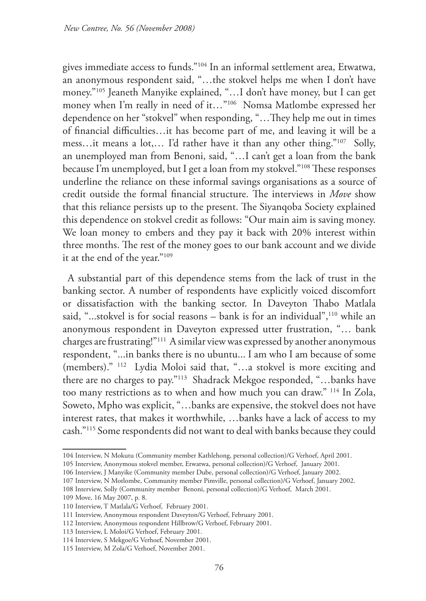gives immediate access to funds."104 In an informal settlement area, Etwatwa, an anonymous respondent said, "…the stokvel helps me when I don't have money."105 Jeaneth Manyike explained, "…I don't have money, but I can get money when I'm really in need of it…"106 Nomsa Matlombe expressed her dependence on her "stokvel" when responding, "…They help me out in times of financial difficulties…it has become part of me, and leaving it will be a mess…it means a lot,… I'd rather have it than any other thing."107 Solly, an unemployed man from Benoni, said, "…I can't get a loan from the bank because I'm unemployed, but I get a loan from my stokvel."108 These responses underline the reliance on these informal savings organisations as a source of credit outside the formal financial structure. The interviews in *Move* show that this reliance persists up to the present. The Siyanqoba Society explained this dependence on stokvel credit as follows: "Our main aim is saving money. We loan money to embers and they pay it back with 20% interest within three months. The rest of the money goes to our bank account and we divide it at the end of the year."109

A substantial part of this dependence stems from the lack of trust in the banking sector. A number of respondents have explicitly voiced discomfort or dissatisfaction with the banking sector. In Daveyton Thabo Matlala said, "...stokvel is for social reasons - bank is for an individual",<sup>110</sup> while an anonymous respondent in Daveyton expressed utter frustration, "… bank charges are frustrating!"111 A similar view was expressed by another anonymous respondent, "...in banks there is no ubuntu... I am who I am because of some (members)." 112 Lydia Moloi said that, "…a stokvel is more exciting and there are no charges to pay."113 Shadrack Mekgoe responded, "…banks have too many restrictions as to when and how much you can draw." 114 In Zola, Soweto, Mpho was explicit, "…banks are expensive, the stokvel does not have interest rates, that makes it worthwhile, …banks have a lack of access to my cash."115 Some respondents did not want to deal with banks because they could

<sup>104</sup> Interview, N Mokutu (Community member Kathlehong, personal collection)/G Verhoef, April 2001.

<sup>105</sup> Interview, Anonymous stokvel member, Etwatwa, personal collection)/G Verhoef, January 2001.

<sup>106</sup> Interview, J Manyike (Community member Dube, personal collection)/G Verhoef, January 2002.

<sup>107</sup> Interview, N Motlombe, Community member Pimville, personal collection)/G Verhoef, January 2002.

<sup>108</sup> Interview, Solly (Community member Benoni, personal collection)/G Verhoef, March 2001.

<sup>109</sup> Move, 16 May 2007, p. 8.

<sup>110</sup> Interview, T Matlala/G Verhoef, February 2001.

<sup>111</sup> Interview, Anonymous respondent Daveyton/G Verhoef, February 2001.

<sup>112</sup> Interview, Anonymous respondent Hillbrow/G Verhoef, February 2001.

<sup>113</sup> Interview, L Moloi/G Verhoef, February 2001.

<sup>114</sup> Interview, S Mekgoe/G Verhoef, November 2001.

<sup>115</sup> Interview, M Zola/G Verhoef, November 2001.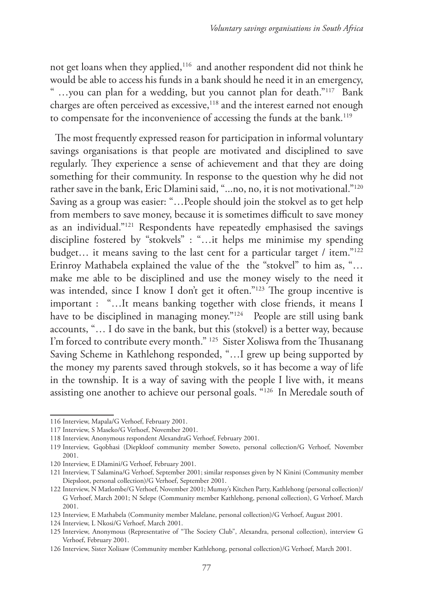not get loans when they applied,116 and another respondent did not think he would be able to access his funds in a bank should he need it in an emergency, " ...you can plan for a wedding, but you cannot plan for death."<sup>117</sup> Bank charges are often perceived as excessive,<sup>118</sup> and the interest earned not enough to compensate for the inconvenience of accessing the funds at the bank.<sup>119</sup>

The most frequently expressed reason for participation in informal voluntary savings organisations is that people are motivated and disciplined to save regularly. They experience a sense of achievement and that they are doing something for their community. In response to the question why he did not rather save in the bank, Eric Dlamini said, "...no, no, it is not motivational."<sup>120</sup> Saving as a group was easier: "…People should join the stokvel as to get help from members to save money, because it is sometimes difficult to save money as an individual."121 Respondents have repeatedly emphasised the savings discipline fostered by "stokvels" : "…it helps me minimise my spending budget… it means saving to the last cent for a particular target / item."122 Erinroy Mathabela explained the value of the the "stokvel" to him as, "… make me able to be disciplined and use the money wisely to the need it was intended, since I know I don't get it often."<sup>123</sup> The group incentive is important : "…It means banking together with close friends, it means I have to be disciplined in managing money."<sup>124</sup> People are still using bank accounts, "… I do save in the bank, but this (stokvel) is a better way, because I'm forced to contribute every month." 125 Sister Xoliswa from the Thusanang Saving Scheme in Kathlehong responded, "…I grew up being supported by the money my parents saved through stokvels, so it has become a way of life in the township. It is a way of saving with the people I live with, it means assisting one another to achieve our personal goals. "126 In Meredale south of

<sup>116</sup> Interview, Mapala/G Verhoef, February 2001.

<sup>117</sup> Interview, S Maseko/G Verhoef, November 2001.

<sup>118</sup> Interview, Anonymous respondent AlexandraG Verhoef, February 2001.

<sup>119</sup> Interview, Gqobhasi (Diepkloof community member Soweto, personal collection/G Verhoef, November 2001.

<sup>120</sup> Interview, E Dlamini/G Verhoef, February 2001.

<sup>121</sup> Interview, T Salamina/G Verhoef, September 2001; similar responses given by N Kinini (Community member Diepsloot, personal collection)/G Verhoef, September 2001.

<sup>122</sup> Interview, N Matlombe/G Verhoef, November 2001; Mumsy's Kitchen Party, Kathlehong (personal collection)/ G Verhoef, March 2001; N Selepe (Community member Kathlehong, personal collection), G Verhoef, March 2001.

<sup>123</sup> Interview, E Mathabela (Community member Malelane, personal collection)/G Verhoef, August 2001.

<sup>124</sup> Interview, L Nkosi/G Verhoef, March 2001.

<sup>125</sup> Interview, Anonymous (Representative of "The Society Club", Alexandra, personal collection), interview G Verhoef, February 2001.

<sup>126</sup> Interview, Sister Xolisaw (Community member Kathlehong, personal collection)/G Verhoef, March 2001.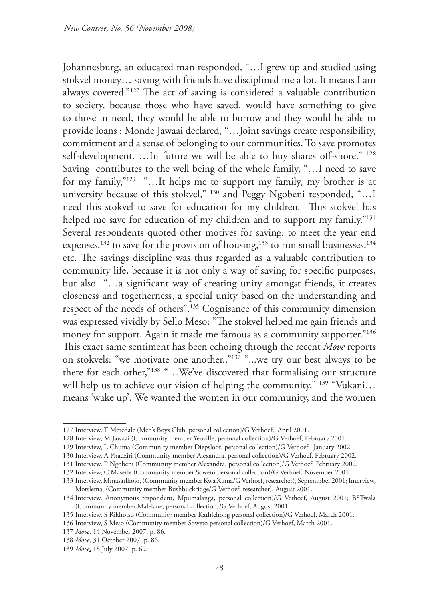Johannesburg, an educated man responded, "…I grew up and studied using stokvel money… saving with friends have disciplined me a lot. It means I am always covered."127 The act of saving is considered a valuable contribution to society, because those who have saved, would have something to give to those in need, they would be able to borrow and they would be able to provide loans : Monde Jawaai declared, "…Joint savings create responsibility, commitment and a sense of belonging to our communities. To save promotes self-development. …In future we will be able to buy shares off-shore." 128 Saving contributes to the well being of the whole family, "…I need to save for my family,"129 "…It helps me to support my family, my brother is at university because of this stokvel," 130 and Peggy Ngobeni responded, "... I need this stokvel to save for education for my children. This stokvel has helped me save for education of my children and to support my family."<sup>131</sup> Several respondents quoted other motives for saving: to meet the year end expenses,<sup>132</sup> to save for the provision of housing,<sup>133</sup> to run small businesses,<sup>134</sup> etc. The savings discipline was thus regarded as a valuable contribution to community life, because it is not only a way of saving for specific purposes, but also "…a significant way of creating unity amongst friends, it creates closeness and togetherness, a special unity based on the understanding and respect of the needs of others".135 Cognisance of this community dimension was expressed vividly by Sello Meso: "The stokvel helped me gain friends and money for support. Again it made me famous as a community supporter."<sup>136</sup> This exact same sentiment has been echoing through the recent *Move* reports on stokvels: "we motivate one another.."137 "...we try our best always to be there for each other,"138 "…We've discovered that formalising our structure will help us to achieve our vision of helping the community," 139 "Vukani... means 'wake up'. We wanted the women in our community, and the women

<sup>127</sup> Interview, T Meredale (Men's Boys Club, personal collection)/G Verhoef, April 2001.

<sup>128</sup> Interview, M Jawaai (Community member Yeoville, personal collection)/G Verhoef, February 2001.

<sup>129</sup> Interview, L Chuma (Community member Diepsloot, personal collection)/G Verhoef, January 2002.

<sup>130</sup> Interview, A Phadziri (Community member Alexandra, personal collection)/G Verhoef, February 2002.

<sup>131</sup> Interview, P Ngobeni (Community member Alexandra, personal collection)/G Verhoef, February 2002.

<sup>132</sup> Interview, C Masetle (Community member Soweto personal collection)/G Verhoef, November 2001.

<sup>133</sup> Interview, Mmasatlholo, (Community member Kwa Xuma/G Verhoef, researcher), Septenmber 2001; Interview, Motslema, (Community member Bushbuckridge/G Verhoef, researcher), August 2001.

<sup>134</sup> Interview, Anonymous respondent, Mpumalanga, personal collection)/G Verhoef, August 2001; BSTwala (Community member Malelane, personal collection)/G Verhoef, August 2001.

<sup>135</sup> Interview, S Rikhotso (Community member Kathlehong personal collection)/G Verhoef, March 2001.

<sup>136</sup> Interview, S Meso (Community member Soweto personal collection)/G Verhoef, March 2001.

<sup>137</sup> *Move*, 14 November 2007, p. 86.

<sup>138</sup> *Move,* 31 October 2007, p. 86.

<sup>139</sup> *Move*, 18 July 2007, p. 69.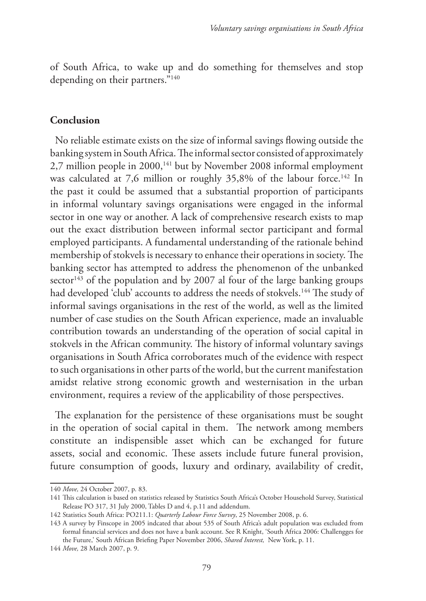of South Africa, to wake up and do something for themselves and stop depending on their partners."<sup>140</sup>

### **Conclusion**

No reliable estimate exists on the size of informal savings flowing outside the banking system in South Africa. The informal sector consisted of approximately 2,7 million people in 2000,<sup>141</sup> but by November 2008 informal employment was calculated at 7,6 million or roughly 35,8% of the labour force.<sup>142</sup> In the past it could be assumed that a substantial proportion of participants in informal voluntary savings organisations were engaged in the informal sector in one way or another. A lack of comprehensive research exists to map out the exact distribution between informal sector participant and formal employed participants. A fundamental understanding of the rationale behind membership of stokvels is necessary to enhance their operations in society. The banking sector has attempted to address the phenomenon of the unbanked sector<sup>143</sup> of the population and by 2007 al four of the large banking groups had developed 'club' accounts to address the needs of stokvels.<sup>144</sup> The study of informal savings organisations in the rest of the world, as well as the limited number of case studies on the South African experience, made an invaluable contribution towards an understanding of the operation of social capital in stokvels in the African community. The history of informal voluntary savings organisations in South Africa corroborates much of the evidence with respect to such organisations in other parts of the world, but the current manifestation amidst relative strong economic growth and westernisation in the urban environment, requires a review of the applicability of those perspectives.

The explanation for the persistence of these organisations must be sought in the operation of social capital in them. The network among members constitute an indispensible asset which can be exchanged for future assets, social and economic. These assets include future funeral provision, future consumption of goods, luxury and ordinary, availability of credit,

<sup>140</sup> *Move,* 24 October 2007, p. 83.

<sup>141</sup> This calculation is based on statistics released by Statistics South Africa's October Household Survey, Statistical Release PO 317, 31 July 2000, Tables D and 4, p.11 and addendum.

<sup>142</sup> Statistics South Africa: PO211.1: *Quarterly Labour Force Survey*, 25 November 2008, p. 6.

<sup>143</sup> A survey by Finscope in 2005 indcated that about 535 of South Africa's adult population was excluded from formal financial services and does not have a bank account. See R Knight, 'South Africa 2006: Challengges for the Future,' South African Briefing Paper November 2006, *Shared Interest,* New York, p. 11.

<sup>144</sup> *Move,* 28 March 2007, p. 9.